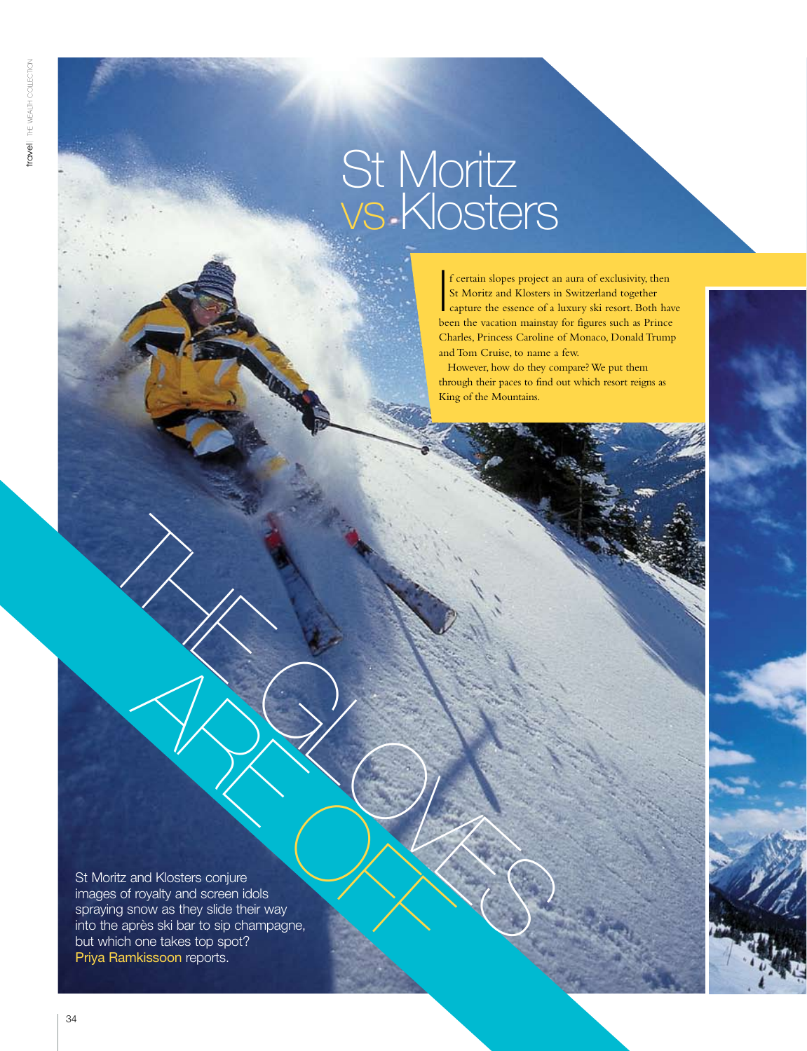travel| the wealth collection

Travel | THE WEALTH COLLECTON

# St Moritz vs Klosters

 $\overline{\mathbf{I}}$ f certain slopes project an aura of exclusivity, then St Moritz and Klosters in Switzerland together capture the essence of a luxury ski resort. Both have been the vacation mainstay for figures such as Prince Charles, Princess Caroline of Monaco, Donald Trump and Tom Cruise, to name a few.

However, how do they compare? We put them through their paces to find out which resort reigns as King of the Mountains.

For the and Klosters conjure<br>
Signs anow as they side their way<br>
the après ski bar to sip champagne.<br>
The après ski bar to sip champagne. St Moritz and Klosters conjure<br>
St Moritz and Klosters conjure<br>
images of royalty and screen idols<br>
spraying snow as they slide their way<br>
into the après ski bar to sip champagne,<br>
but which one takes top sport?<br>
Priva Ram St Moritz and Klosters conjure images of royalty and screen idols spraying snow as they slide their way into the après ski bar to sip champagne, but which one takes top spot? Priya Ramkissoon reports.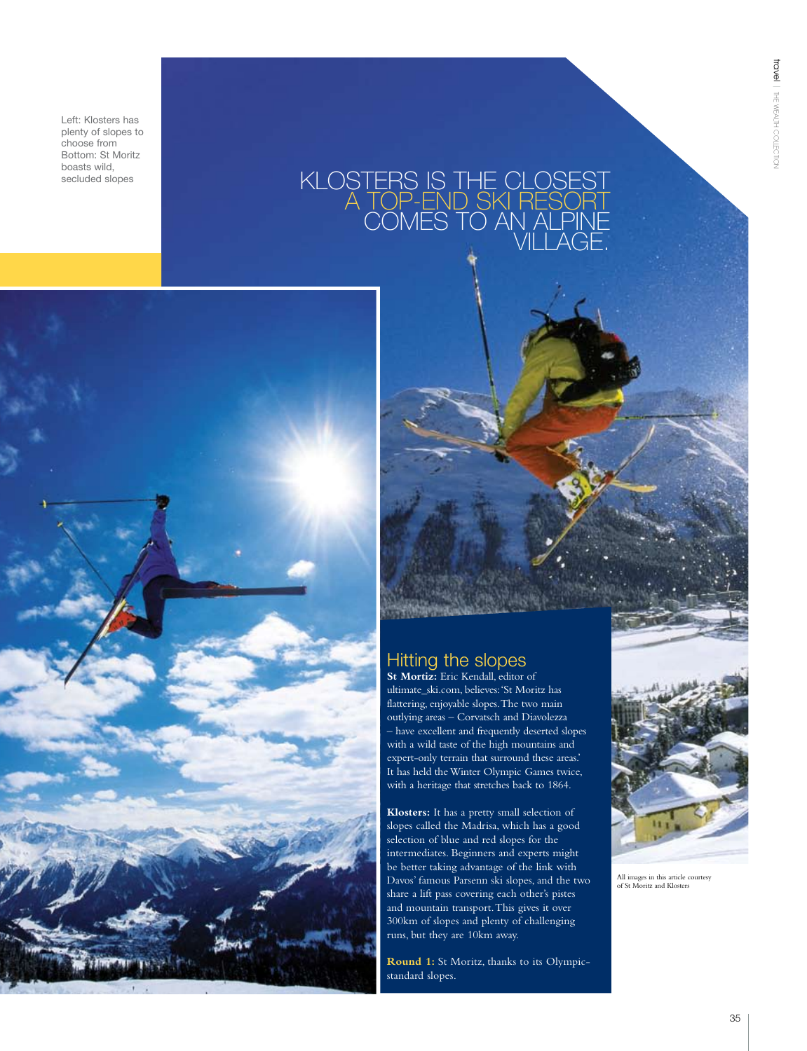travel  $\vec{=}$ wealth

collection<br>2

Left: Klosters has plenty of slopes to choose from Bottom: St Moritz boasts wild,<br>secluded slopes

## secluded slopes  $KLOSTERS IS THE QLOSEST$ a top-end ski resort comes to an Alpine village.



## Hitting the slopes

**St Mortiz:** Eric Kendall, editor of ultimate\_ski.com, believes: 'St Moritz has flattering, enjoyable slopes. The two main outlying areas – Corvatsch and Diavolezza – have excellent and frequently deserted slopes with a wild taste of the high mountains and expert-only terrain that surround these areas.' It has held the Winter Olympic Games twice, with a heritage that stretches back to 1864.

**Klosters:** It has a pretty small selection of slopes called the Madrisa, which has a good selection of blue and red slopes for the intermediates. Beginners and experts might be better taking advantage of the link with Davos' famous Parsenn ski slopes, and the two share a lift pass covering each other's pistes and mountain transport. This gives it over 300km of slopes and plenty of challenging runs, but they are 10km away.

**Round 1:** St Moritz, thanks to its Olympicstandard slopes.



All images in this article courtesy of St Moritz and Klosters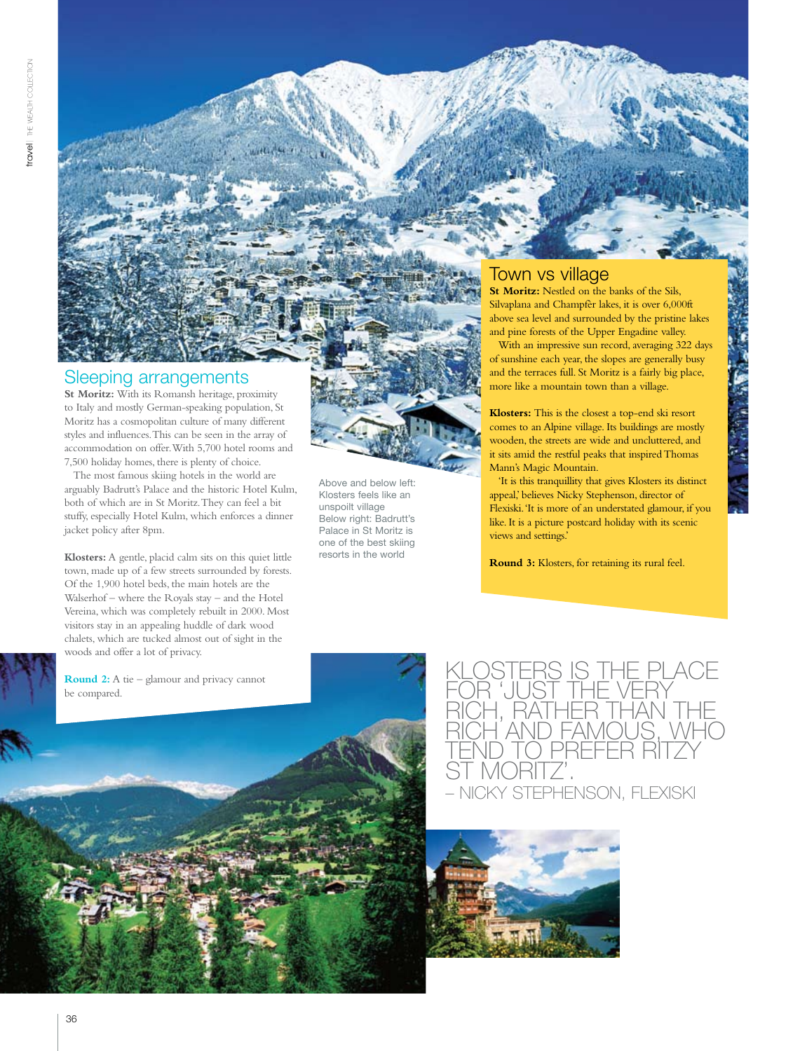# Sleeping arrangements

**St Moritz:** With its Romansh heritage, proximity to Italy and mostly German-speaking population, St Moritz has a cosmopolitan culture of many different styles and influences. This can be seen in the array of accommodation on offer. With 5,700 hotel rooms and 7,500 holiday homes, there is plenty of choice.

The most famous skiing hotels in the world are arguably Badrutt's Palace and the historic Hotel Kulm, both of which are in St Moritz. They can feel a bit stuffy, especially Hotel Kulm, which enforces a dinner jacket policy after 8pm.

Above and below left: Klosters feels like an unspoilt village Below right: Badrutt's Palace in St Moritz is one of the best skiing resorts in the world

**Klosters:** A gentle, placid calm sits on this quiet little town, made up of a few streets surrounded by forests. Of the 1,900 hotel beds, the main hotels are the Walserhof – where the Royals stay – and the Hotel Vereina, which was completely rebuilt in 2000. Most visitors stay in an appealing huddle of dark wood chalets, which are tucked almost out of sight in the woods and offer a lot of privacy.

**Round 2:** A tie – glamour and privacy cannot



Iown vs village **St Moritz:** Nestled on the banks of the Sils,

Silvaplana and Champfèr lakes, it is over 6,000ft above sea level and surrounded by the pristine lakes and pine forests of the Upper Engadine valley.

With an impressive sun record, averaging 322 days of sunshine each year, the slopes are generally busy and the terraces full. St Moritz is a fairly big place, more like a mountain town than a village.

**Klosters:** This is the closest a top-end ski resort comes to an Alpine village. Its buildings are mostly wooden, the streets are wide and uncluttered, and it sits amid the restful peaks that inspired Thomas Mann's Magic Mountain.

'It is this tranquillity that gives Klosters its distinct appeal,' believes Nicky Stephenson, director of Flexiski. 'It is more of an understated glamour, if you like. It is a picture postcard holiday with its scenic views and settings.'

**Round 3:** Klosters, for retaining its rural feel.